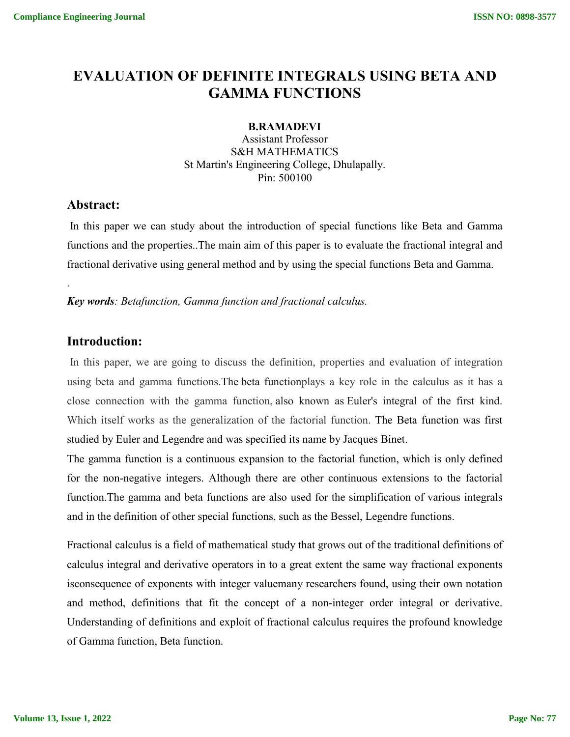# **EVALUATION OF DEFINITE INTEGRALS USING BETA AND GAMMA FUNCTIONS**

#### **B.RAMADEVI**

Assistant Professor S&H MATHEMATICS St Martin's Engineering College, Dhulapally. Pin: 500100

## **Abstract:**

.

In this paper we can study about the introduction of special functions like Beta and Gamma functions and the properties..The main aim of this paper is to evaluate the fractional integral and fractional derivative using general method and by using the special functions Beta and Gamma.

*Key words: Betafunction, Gamma function and fractional calculus.*

## **Introduction:**

In this paper, we are going to discuss the definition, properties and evaluation of integration using beta and gamma functions.The beta functionplays a key role in the calculus as it has a close connection with the gamma function, also known as Euler's integral of the first kind. Which itself works as the generalization of the factorial function. The Beta function was first studied by Euler and Legendre and was specified its name by Jacques Binet.

The gamma function is a continuous expansion to the factorial function, which is only defined for the non-negative integers. Although there are other continuous extensions to the factorial function.The gamma and beta functions are also used for the simplification of various integrals and in the definition of other special functions, such as the Bessel, Legendre functions.

Fractional calculus is a field of mathematical study that grows out of the traditional definitions of calculus integral and derivative operators in to a great extent the same way fractional exponents isconsequence of exponents with integer valuemany researchers found, using their own notation and method, definitions that fit the concept of a non-integer order integral or derivative. Understanding of definitions and exploit of fractional calculus requires the profound knowledge of Gamma function, Beta function.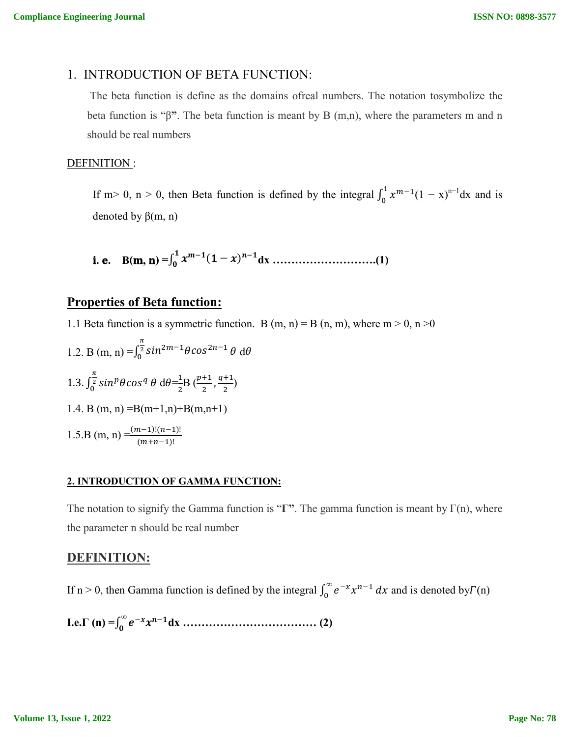#### 1. INTRODUCTION OF BETA FUNCTION:

The beta function is define as the domains ofreal numbers. The notation tosymbolize the beta function is "β**"**. The beta function is meant by B (m,n), where the parameters m and n should be real numbers

#### DEFINITION:

If m> 0, n > 0, then Beta function is defined by the integral  $\int_0^1 x^{m-1}(1-x)^{n-1} dx$  and is denoted by  $β(m, n)$ 

i. e. 
$$
B(m, n) = \int_0^1 x^{m-1} (1-x)^{n-1} dx
$$
 ....... (1)

#### **Properties of Beta function:**

1.1 Beta function is a symmetric function. B (m, n) = B (n, m), where m > 0, n > 0

1.2. B (m, n) = 
$$
\int_0^{\frac{\pi}{2}} \sin^{2m-1} \theta \cos^{2n-1} \theta \ d\theta
$$
  
\n1.3.  $\int_0^{\frac{\pi}{2}} \sin^p \theta \cos^q \theta \ d\theta = \frac{1}{2}B \left(\frac{p+1}{2}, \frac{q+1}{2}\right)$   
\n1.4. B (m, n) =B(m+1,n)+B(m,n+1)  
\n1.5.B (m, n) =  $\frac{(m-1)!(n-1)!}{(m+n-1)!}$ 

#### **2. INTRODUCTION OF GAMMA FUNCTION:**

The notation to signify the Gamma function is "**Γ"**. The gamma function is meant by Γ(n), where the parameter n should be real number

## **DEFINITION:**

If n > 0, then Gamma function is defined by the integral  $\int_0^\infty e^{-x} x^{n-1} dx$  and is denoted by  $\Gamma(n)$ 

**I.e.Γ (n) =**∫ *<sup>∞</sup>* **dx ……………………………… (2)**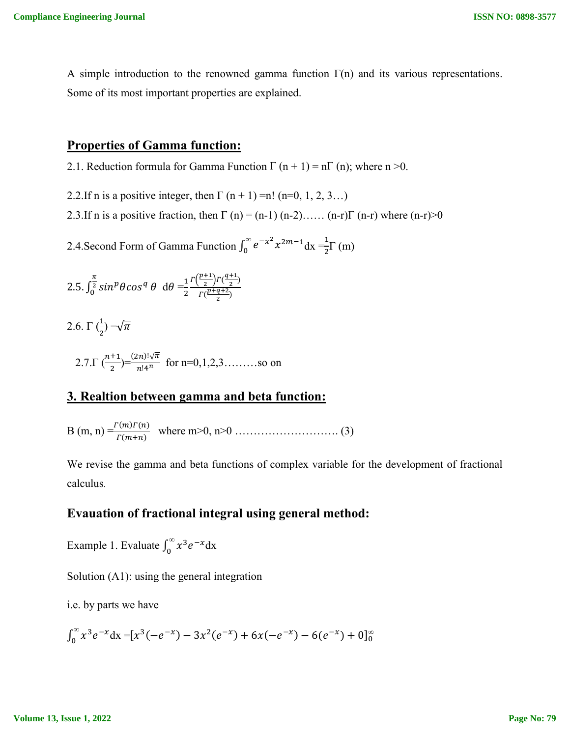A simple introduction to the renowned gamma function  $\Gamma(n)$  and its various representations. Some of its most important properties are explained.

## **Properties of Gamma function:**

2.1. Reduction formula for Gamma Function  $\Gamma$  (n + 1) = n $\Gamma$  (n); where n >0.

- 2.2.If n is a positive integer, then  $\Gamma$  (n + 1) =n! (n=0, 1, 2, 3...)
- 2.3.If n is a positive fraction, then  $\Gamma$  (n) = (n-1) (n-2)…… (n-r) $\Gamma$  (n-r) where (n-r) $>0$

2.4.Second Form of Gamma Function  $\int_0^\infty e^{-x^2} x^{2m-1} dx = \frac{1}{2} \Gamma(m)$ 

2.5. 
$$
\int_0^{\frac{\pi}{2}} \sin^p \theta \cos^q \theta \ d\theta = \frac{1}{2} \frac{\Gamma(\frac{p+1}{2}) \Gamma(\frac{q+1}{2})}{\Gamma(\frac{p+q+2}{2})}
$$

2.6.  $\Gamma(\frac{1}{2}) = \sqrt{\pi}$ 

2.7. 
$$
\Gamma\left(\frac{n+1}{2}\right) = \frac{(2n)! \sqrt{\pi}}{n! 4^n}
$$
 for n=0,1,2,3........so on

## **3. Realtion between gamma and beta function:**

B (m, n) =()() () where m>0, n>0 ………………………. (3)

We revise the gamma and beta functions of complex variable for the development of fractional calculus.

# **Evauation of fractional integral using general method:**

Example 1. Evaluate  $\int_0^\infty x^3 e^{-x} dx$ 

Solution (A1): using the general integration

i.e. by parts we have

$$
\int_0^\infty x^3 e^{-x} dx = [x^3(-e^{-x}) - 3x^2(e^{-x}) + 6x(-e^{-x}) - 6(e^{-x}) + 0]_0^\infty
$$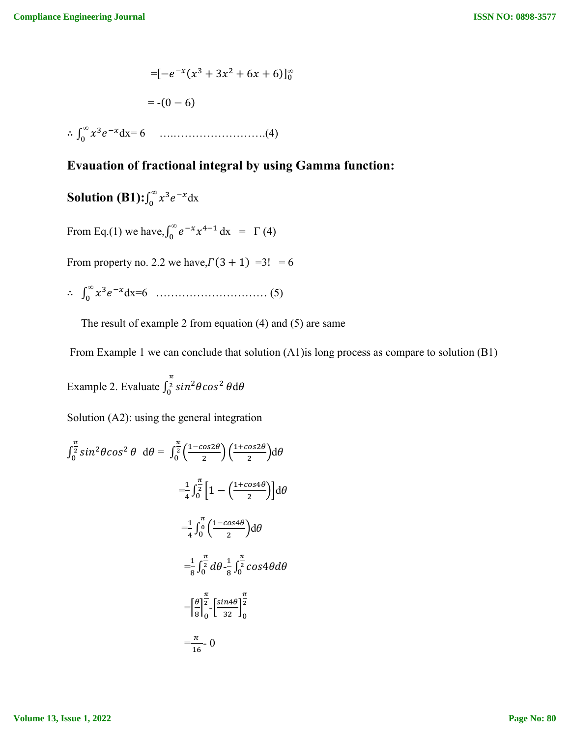$$
= [-e^{-x}(x^3 + 3x^2 + 6x + 6)]_0^{\infty}
$$
  
= -(0 - 6)  

$$
\therefore \int_0^{\infty} x^3 e^{-x} dx = 6 \quad \dots \dots \dots \dots \dots \dots \dots \dots \dots \dots (4)
$$

# **Evauation of fractional integral by using Gamma function:**

**Solution (B1):** $\int_0^\infty x^3 e^{-x} dx$ 

From Eq.(1) we have,  $\int_0^{\infty} e^{-x} x^{4-1} dx = \Gamma(4)$ 

From property no. 2.2 we have,  $\Gamma(3 + 1) = 3! = 6$ 

∴ ∫ *<sup>∞</sup>* dx=6 ………………………… (5)

The result of example 2 from equation (4) and (5) are same

From Example 1 we can conclude that solution (A1)is long process as compare to solution (B1)

Example 2. Evaluate  $\int_0^{\frac{\pi}{2}} \sin^2 \theta \cos^2 \theta d\theta$ 

Solution (A2): using the general integration

$$
\int_0^{\frac{\pi}{2}} \sin^2 \theta \cos^2 \theta \ d\theta = \int_0^{\frac{\pi}{2}} \left( \frac{1 - \cos 2\theta}{2} \right) \left( \frac{1 + \cos 2\theta}{2} \right) d\theta
$$

$$
= \frac{1}{4} \int_0^{\frac{\pi}{2}} \left[ 1 - \left( \frac{1 + \cos 4\theta}{2} \right) \right] d\theta
$$

$$
= \frac{1}{4} \int_0^{\frac{\pi}{2}} \left( \frac{1 - \cos 4\theta}{2} \right) d\theta
$$

$$
= \frac{1}{8} \int_0^{\frac{\pi}{2}} d\theta \cdot \frac{1}{8} \int_0^{\frac{\pi}{2}} \cos 4\theta d\theta
$$

$$
= \left[ \frac{\theta}{8} \right]_0^{\frac{\pi}{2}} - \left[ \frac{\sin 4\theta}{32} \right]_0^{\frac{\pi}{2}}
$$

$$
= \frac{\pi}{16} = 0
$$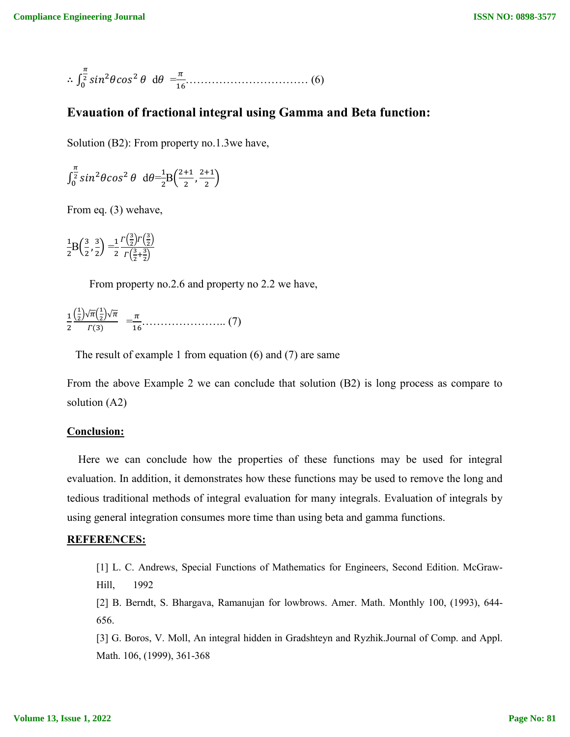$$
\therefore \int_0^{\frac{\pi}{2}} \sin^2 \theta \cos^2 \theta \ d\theta = \frac{\pi}{16} \dots \dots \dots \dots \dots \dots \dots \dots \dots \dots \dots \dots \tag{6}
$$

#### **Evauation of fractional integral using Gamma and Beta function:**

Solution (B2): From property no.1.3we have,

$$
\int_0^{\frac{\pi}{2}} \sin^2 \theta \cos^2 \theta \ d\theta = \frac{1}{2} B\left(\frac{2+1}{2}, \frac{2+1}{2}\right)
$$

From eq. (3) wehave,

 $\mathbf{1}$  $\frac{1}{2}B\left(\frac{3}{2},\frac{3}{2}\right)$  $\frac{3}{2}$  $=$  $\frac{1}{2}$  $\overline{\mathbf{c}}$  $\Gamma(\frac{3}{2})$  $\frac{3}{2}$ ) $\Gamma(\frac{3}{2})$  $\frac{3}{2}$  $\Gamma(\frac{3}{2})$  $\frac{3}{2} + \frac{3}{2}$ 

From property no.2.6 and property no 2.2 we have,

|   | $\frac{1}{1} \left(\frac{1}{2}\right) \sqrt{\pi} \left(\frac{1}{2}\right) \sqrt{\pi}$ |  |
|---|---------------------------------------------------------------------------------------|--|
| 2 | $\Gamma(3)$                                                                           |  |

The result of example 1 from equation (6) and (7) are same

From the above Example 2 we can conclude that solution (B2) is long process as compare to solution (A2)

#### **Conclusion:**

Here we can conclude how the properties of these functions may be used for integral evaluation. In addition, it demonstrates how these functions may be used to remove the long and tedious traditional methods of integral evaluation for many integrals. Evaluation of integrals by using general integration consumes more time than using beta and gamma functions.

#### **REFERENCES:**

[1] L. C. Andrews, Special Functions of Mathematics for Engineers, Second Edition. McGraw-Hill, 1992

[2] B. Berndt, S. Bhargava, Ramanujan for lowbrows. Amer. Math. Monthly 100, (1993), 644- 656.

[3] G. Boros, V. Moll, An integral hidden in Gradshteyn and Ryzhik.Journal of Comp. and Appl. Math. 106, (1999), 361-368